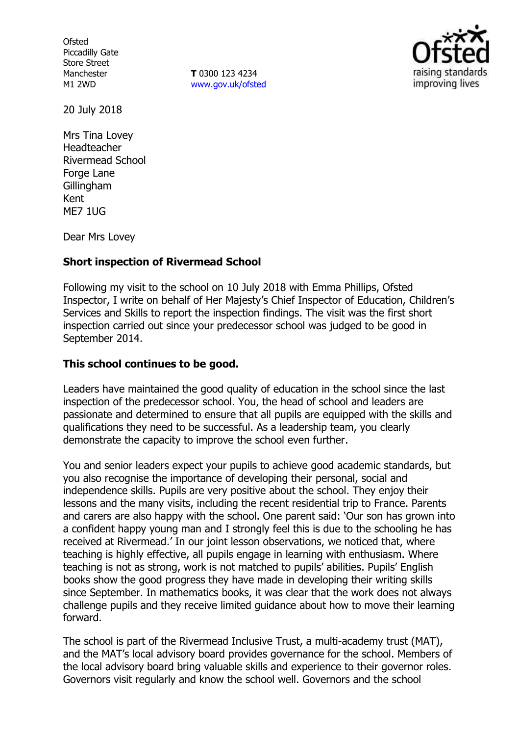**Ofsted** Piccadilly Gate Store Street Manchester M1 2WD

**T** 0300 123 4234 www.gov.uk/ofsted



20 July 2018

Mrs Tina Lovey Headteacher Rivermead School Forge Lane Gillingham Kent ME7 1UG

Dear Mrs Lovey

### **Short inspection of Rivermead School**

Following my visit to the school on 10 July 2018 with Emma Phillips, Ofsted Inspector, I write on behalf of Her Majesty's Chief Inspector of Education, Children's Services and Skills to report the inspection findings. The visit was the first short inspection carried out since your predecessor school was judged to be good in September 2014.

#### **This school continues to be good.**

Leaders have maintained the good quality of education in the school since the last inspection of the predecessor school. You, the head of school and leaders are passionate and determined to ensure that all pupils are equipped with the skills and qualifications they need to be successful. As a leadership team, you clearly demonstrate the capacity to improve the school even further.

You and senior leaders expect your pupils to achieve good academic standards, but you also recognise the importance of developing their personal, social and independence skills. Pupils are very positive about the school. They enjoy their lessons and the many visits, including the recent residential trip to France. Parents and carers are also happy with the school. One parent said: 'Our son has grown into a confident happy young man and I strongly feel this is due to the schooling he has received at Rivermead.' In our joint lesson observations, we noticed that, where teaching is highly effective, all pupils engage in learning with enthusiasm. Where teaching is not as strong, work is not matched to pupils' abilities. Pupils' English books show the good progress they have made in developing their writing skills since September. In mathematics books, it was clear that the work does not always challenge pupils and they receive limited guidance about how to move their learning forward.

The school is part of the Rivermead Inclusive Trust, a multi-academy trust (MAT), and the MAT's local advisory board provides governance for the school. Members of the local advisory board bring valuable skills and experience to their governor roles. Governors visit regularly and know the school well. Governors and the school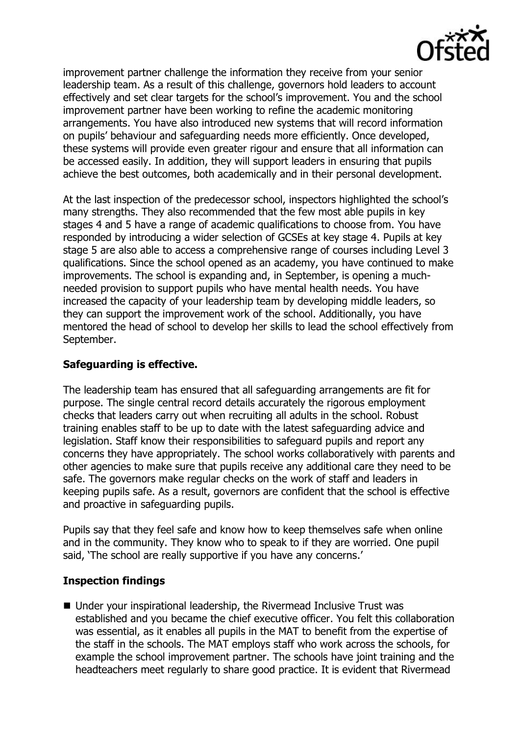

improvement partner challenge the information they receive from your senior leadership team. As a result of this challenge, governors hold leaders to account effectively and set clear targets for the school's improvement. You and the school improvement partner have been working to refine the academic monitoring arrangements. You have also introduced new systems that will record information on pupils' behaviour and safeguarding needs more efficiently. Once developed, these systems will provide even greater rigour and ensure that all information can be accessed easily. In addition, they will support leaders in ensuring that pupils achieve the best outcomes, both academically and in their personal development.

At the last inspection of the predecessor school, inspectors highlighted the school's many strengths. They also recommended that the few most able pupils in key stages 4 and 5 have a range of academic qualifications to choose from. You have responded by introducing a wider selection of GCSEs at key stage 4. Pupils at key stage 5 are also able to access a comprehensive range of courses including Level 3 qualifications. Since the school opened as an academy, you have continued to make improvements. The school is expanding and, in September, is opening a muchneeded provision to support pupils who have mental health needs. You have increased the capacity of your leadership team by developing middle leaders, so they can support the improvement work of the school. Additionally, you have mentored the head of school to develop her skills to lead the school effectively from September.

## **Safeguarding is effective.**

The leadership team has ensured that all safeguarding arrangements are fit for purpose. The single central record details accurately the rigorous employment checks that leaders carry out when recruiting all adults in the school. Robust training enables staff to be up to date with the latest safeguarding advice and legislation. Staff know their responsibilities to safeguard pupils and report any concerns they have appropriately. The school works collaboratively with parents and other agencies to make sure that pupils receive any additional care they need to be safe. The governors make regular checks on the work of staff and leaders in keeping pupils safe. As a result, governors are confident that the school is effective and proactive in safeguarding pupils.

Pupils say that they feel safe and know how to keep themselves safe when online and in the community. They know who to speak to if they are worried. One pupil said, 'The school are really supportive if you have any concerns.'

### **Inspection findings**

■ Under your inspirational leadership, the Rivermead Inclusive Trust was established and you became the chief executive officer. You felt this collaboration was essential, as it enables all pupils in the MAT to benefit from the expertise of the staff in the schools. The MAT employs staff who work across the schools, for example the school improvement partner. The schools have joint training and the headteachers meet regularly to share good practice. It is evident that Rivermead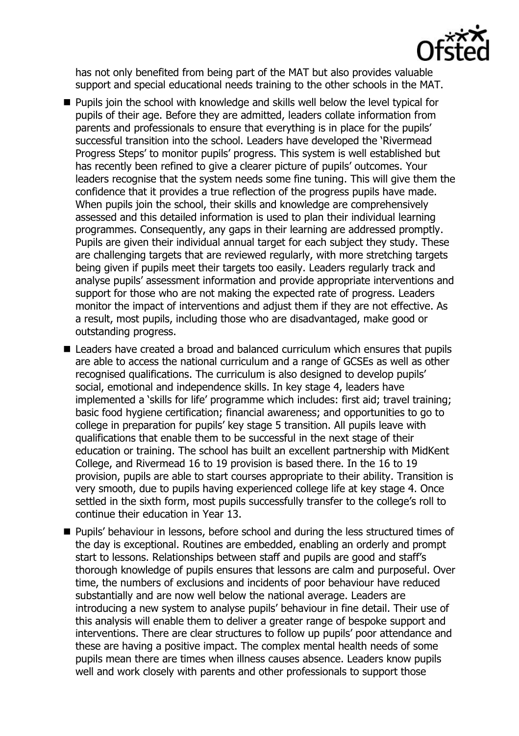

has not only benefited from being part of the MAT but also provides valuable support and special educational needs training to the other schools in the MAT.

- **Pupils join the school with knowledge and skills well below the level typical for** pupils of their age. Before they are admitted, leaders collate information from parents and professionals to ensure that everything is in place for the pupils' successful transition into the school. Leaders have developed the 'Rivermead Progress Steps' to monitor pupils' progress. This system is well established but has recently been refined to give a clearer picture of pupils' outcomes. Your leaders recognise that the system needs some fine tuning. This will give them the confidence that it provides a true reflection of the progress pupils have made. When pupils join the school, their skills and knowledge are comprehensively assessed and this detailed information is used to plan their individual learning programmes. Consequently, any gaps in their learning are addressed promptly. Pupils are given their individual annual target for each subject they study. These are challenging targets that are reviewed regularly, with more stretching targets being given if pupils meet their targets too easily. Leaders regularly track and analyse pupils' assessment information and provide appropriate interventions and support for those who are not making the expected rate of progress. Leaders monitor the impact of interventions and adjust them if they are not effective. As a result, most pupils, including those who are disadvantaged, make good or outstanding progress.
- Leaders have created a broad and balanced curriculum which ensures that pupils are able to access the national curriculum and a range of GCSEs as well as other recognised qualifications. The curriculum is also designed to develop pupils' social, emotional and independence skills. In key stage 4, leaders have implemented a 'skills for life' programme which includes: first aid; travel training; basic food hygiene certification; financial awareness; and opportunities to go to college in preparation for pupils' key stage 5 transition. All pupils leave with qualifications that enable them to be successful in the next stage of their education or training. The school has built an excellent partnership with MidKent College, and Rivermead 16 to 19 provision is based there. In the 16 to 19 provision, pupils are able to start courses appropriate to their ability. Transition is very smooth, due to pupils having experienced college life at key stage 4. Once settled in the sixth form, most pupils successfully transfer to the college's roll to continue their education in Year 13.
- Pupils' behaviour in lessons, before school and during the less structured times of the day is exceptional. Routines are embedded, enabling an orderly and prompt start to lessons. Relationships between staff and pupils are good and staff's thorough knowledge of pupils ensures that lessons are calm and purposeful. Over time, the numbers of exclusions and incidents of poor behaviour have reduced substantially and are now well below the national average. Leaders are introducing a new system to analyse pupils' behaviour in fine detail. Their use of this analysis will enable them to deliver a greater range of bespoke support and interventions. There are clear structures to follow up pupils' poor attendance and these are having a positive impact. The complex mental health needs of some pupils mean there are times when illness causes absence. Leaders know pupils well and work closely with parents and other professionals to support those